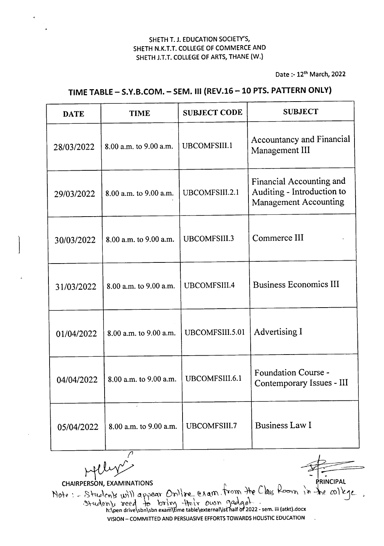Date :- 12th March, 2022

| <b>DATE</b> | <b>TIME</b>            | <b>SUBJECT CODE</b> | <b>SUBJECT</b>                                                                         |
|-------------|------------------------|---------------------|----------------------------------------------------------------------------------------|
| 28/03/2022  | 8.00 a.m. to 9.00 a.m. | UBCOMFSIII.1        | <b>Accountancy and Financial</b><br>Management III                                     |
| 29/03/2022  | 8.00 a.m. to 9.00 a.m. | UBCOMFSIII.2.1      | Financial Accounting and<br>Auditing - Introduction to<br><b>Management Accounting</b> |
| 30/03/2022  | 8.00 a.m. to 9.00 a.m. | UBCOMFSIII.3        | Commerce III                                                                           |
| 31/03/2022  | 8.00 a.m. to 9.00 a.m. | UBCOMFSIII.4        | <b>Business Economics III</b>                                                          |
| 01/04/2022  | 8.00 a.m. to 9.00 a.m. | UBCOMFSIII.5.01     | Advertising I                                                                          |
| 04/04/2022  | 8.00 a.m. to 9.00 a.m. | UBCOMFSIII.6.1      | <b>Foundation Course -</b><br>Contemporary Issues - III                                |
| 05/04/2022  | 8.00 a.m. to 9.00 a.m. | UBCOMFSIII.7        | <b>Business Law I</b>                                                                  |

## TIME TABLE- S.Y.B.COM. - SEM. III (REV.16 -10 PTS. PATTERN ONLY)

 $\curvearrowright$ 

CHAIRPERSON, EXAMINATIONS CHAIRPERSON, EXAMINATIONS  $\overline{a}$   $\overline{a}$   $\overline{a}$   $\overline{a}$   $\overline{a}$   $\overline{a}$   $\overline{a}$   $\overline{a}$   $\overline{a}$   $\overline{a}$   $\overline{a}$   $\overline{a}$   $\overline{a}$   $\overline{a}$   $\overline{a}$   $\overline{a}$   $\overline{a}$   $\overline{a}$   $\overline{a}$   $\overline{a}$   $\overline{a}$   $\overline{a$ Note: - Students will appear Online Cram. From the Class Room in the college.<br>Students reed to bring their own gadget.<br>h:\pendrive\sbn\sbn examptime table\external\ist half of 2022-sem. iii (atkt).docx VISION - COMMITIED AND PERSUASIVE EFFORTS TOWARDS HOLISTIC EDUCATION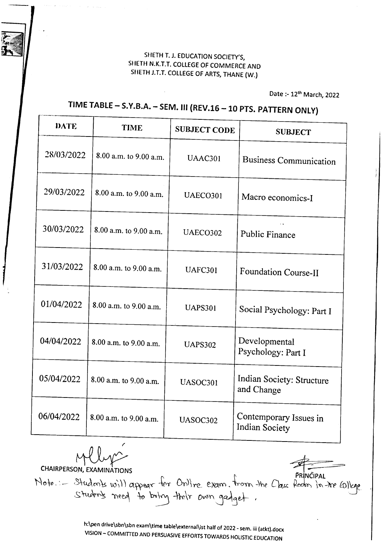Date :- 12<sup>th</sup> March, 2022

## **TIME TABLE - S.Y.B.A. - SEM.III (REV.16 -10 PTS. PATTERN ONLY)**

| DATE       | <b>TIME</b>            | <b>SUBJECT CODE</b> | <b>SUBJECT</b>                           |
|------------|------------------------|---------------------|------------------------------------------|
| 28/03/2022 | 8.00 a.m. to 9.00 a.m. | UAAC301             | <b>Business Communication</b>            |
| 29/03/2022 | 8.00 a.m. to 9.00 a.m. | UAECO301            | Macro economics-I                        |
| 30/03/2022 | 8.00 a.m. to 9.00 a.m. | UAECO302            | Public Finance                           |
| 31/03/2022 | 8.00 a.m. to 9.00 a.m. | UAFC301             | Foundation Course-II                     |
| 01/04/2022 | 8.00 a.m. to 9.00 a.m. | <b>UAPS301</b>      | Social Psychology: Part I                |
| 04/04/2022 | 8.00 a.m. to 9.00 a.m. | <b>UAPS302</b>      | Developmental<br>Psychology: Part I      |
| 05/04/2022 | 8.00 a.m. to 9.00 a.m. | UASOC301            | Indian Society: Structure<br>and Change  |
| 06/04/2022 | 8.00 a.m. to 9.00 a.m. | UASOC302            | Contemporary Issues in<br>Indian Society |

~ CHAIRPERSON, EXAMINATIONS

,..~,.....--...

 $Note.: -$  Students will appear for Online exam. from the Class students need to boling their own gadget.

> h:\pen drive\sbn\sbn exam\time table\external\ist half of 2022 - sem. iii (atkt).docx VISION - COMMITTED AND PERSUASIVE EFFORTS TOWARDS HOLISTIC EDUCATION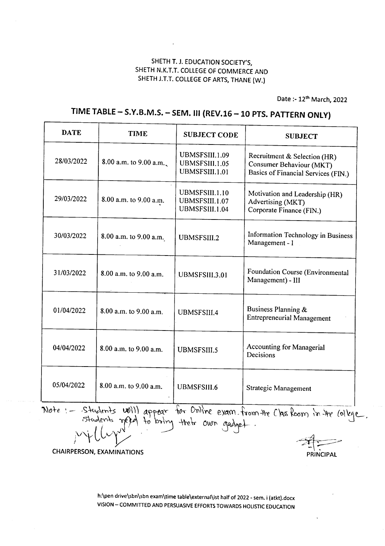Date :- 12<sup>th</sup> March, 2022

## **TIME TABLE - S.Y.B.M.S. - SEM. III (REV.16 -10 PTS. PATTERN ONLY)**

| <b>DATE</b> | <b>TIME</b>              | <b>SUBJECT CODE</b>                                | <b>SUBJECT</b>                                                                                  |
|-------------|--------------------------|----------------------------------------------------|-------------------------------------------------------------------------------------------------|
| 28/03/2022  | 8.00 a.m. to $9.00$ a.m. | UBMSFSIII.1.09<br>UBMSFSIII.1.05<br>UBMSFSIII.1.01 | Recruitment & Selection (HR)<br>Consumer Behaviour (MKT)<br>Basics of Financial Services (FIN.) |
| 29/03/2022  | 8.00 a.m. to 9.00 a.m.   | UBMSFSIII.1.10<br>UBMSFSIII.1.07<br>UBMSFSIII.1.04 | Motivation and Leadership (HR)<br>Advertising (MKT)<br>Corporate Finance (FIN.)                 |
| 30/03/2022  | 8.00 a.m. to 9.00 a.m.   | <b>UBMSFSIII.2</b>                                 | Information Technology in Business<br>Management - I                                            |
| 31/03/2022  | 8.00 a.m. to 9.00 a.m.   | UBMSFSIII.3.01                                     | Foundation Course (Environmental<br>Management) - III                                           |
| 01/04/2022  | 8.00 a.m. to 9.00 a.m.   | <b>UBMSFSIII.4</b>                                 | Business Planning &<br><b>Entrepreneurial Management</b>                                        |
| 04/04/2022  | 8.00 a.m. to 9.00 a.m.   | <b>UBMSFSIII.5</b>                                 | <b>Accounting for Managerial</b><br>Decisions                                                   |
| 05/04/2022  | 8.00 a.m. to 9.00 a.m.   | <b>UBMSFSIII.6</b>                                 | <b>Strategic Management</b>                                                                     |

Note: - Students Will appear for Online exam. from the Chas Room in the Colege.

**CHAIRPERSON, EXAMINATIONS** 

**PRINCIPAL** 

h:\pen drive\sbn\sbn exam\time table\external\ist half of 2022 - sem. i (atkt}.docx VISION - COMMITTED AND PERSUASIVE EFFORTSTOWARDS HOLISTIC EDUCATION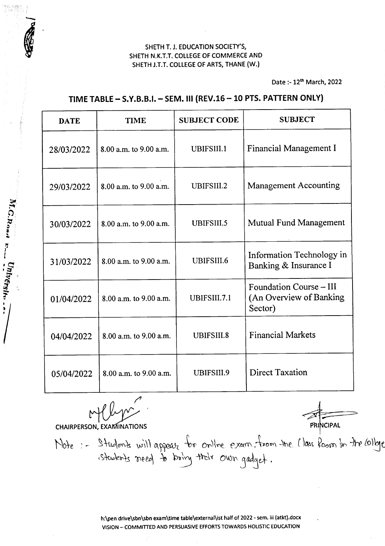Date :- 12th March, 2022

#### TIME TABLE- S.Y.B.B.I. - SEM. III (REV.16 -10 PTS.PATTERNONLY)

| <b>DATE</b> | <b>TIME</b>            | <b>SUBJECT CODE</b> | <b>SUBJECT</b>                                                |
|-------------|------------------------|---------------------|---------------------------------------------------------------|
| 28/03/2022  | 8.00 a.m. to 9.00 a.m. | UBIFSIII.1          | Financial Management I                                        |
| 29/03/2022  | 8.00 a.m. to 9.00 a.m. | UBIFSIII.2          | <b>Management Accounting</b>                                  |
| 30/03/2022  | 8.00 a.m. to 9.00 a.m. | UBIFSIII.5          | <b>Mutual Fund Management</b>                                 |
| 31/03/2022  | 8.00 a.m. to 9.00 a.m. | UBIFSIII.6          | Information Technology in<br>Banking & Insurance I            |
| 01/04/2022  | 8.00 a.m. to 9.00 a.m. | UBIFSIII.7.1        | Foundation Course - III<br>(An Overview of Banking<br>Sector) |
| 04/04/2022  | 8.00 a.m. to 9.00 a.m. | UBIFSIII.8          | <b>Financial Markets</b>                                      |
| 05/04/2022  | 8.00 a.m. to 9.00 a.m. | <b>UBIFSIII.9</b>   | <b>Direct Taxation</b>                                        |

Mll

**CHAIRPERSON, EXAMINATIONS** 

M.G.Road E. University.

**PRINCIPAL** 

Mote :- Students will appear for online exam from the Mass foom in the college

h:\pen drive\sbn\sbn exam\time table\external\ist half of 2022 - sem. iii (atkt).docx VISION - COMMITTED AND PERSUASIVEEFFORTSTOWARDS HOLISTIC EDUCATION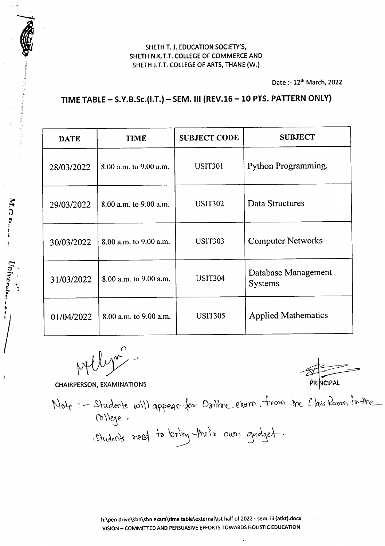Date :- 12<sup>th</sup> March, 2022

## TIME TABLE- S.Y.B.Sc.(I.T.) - SEM. III (REV.16 -10 PTS. PATTERN ONLY)

| <b>DATE</b> | <b>TIME</b>            | <b>SUBJECT CODE</b> | <b>SUBJECT</b>                        |
|-------------|------------------------|---------------------|---------------------------------------|
| 28/03/2022  | 8.00 a.m. to 9.00 a.m. | <b>USIT301</b>      | Python Programming.                   |
| 29/03/2022  | 8.00 a.m. to 9.00 a.m. | <b>USIT302</b>      | Data Structures                       |
| 30/03/2022  | 8.00 a.m. to 9.00 a.m. | <b>USIT303</b>      | <b>Computer Networks</b>              |
| 31/03/2022  | 8.00 a.m. to 9.00 a.m. | <b>USIT304</b>      | Database Management<br><b>Systems</b> |
| 01/04/2022  | 8.00 a.m. to 9.00 a.m. | <b>USIT305</b>      | <b>Applied Mathematics</b>            |

 $P$ 

CHAIRPERSON, EXAMINATIONS **PRINCIPAL** 

i  $, \, \cdot \,$ 

Univers

 $M$ . $C$  b.

*I*

Note :- Students will appear for Oriline exam, trom the l'his from in the  $(6)$ lege. Students need to bring their own gadget.

h:\pen drive\sbn\sbn exam\time table\external\ist half of 2022 - sem. iii (atkt).docx VISION - COMMITIED AND PERSUASIVEEFFORTSTOWARDS HOLISTIC EDUCATION

 $\overline{a}$